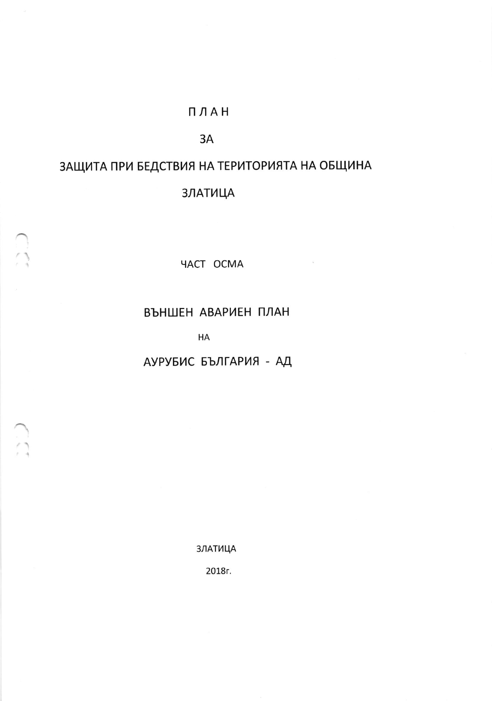### ПЛАН

#### 3A

## ЗАЩИТА ПРИ БЕДСТВИЯ НА ТЕРИТОРИЯТА НА ОБЩИНА

# **ЗЛАТИЦА**

**YACT OCMA** 

À

#### ВЪНШЕН АВАРИЕН ПЛАН

HA

# АУРУБИС БЪЛГАРИЯ - АД

**ЗЛАТИЦА** 

2018г.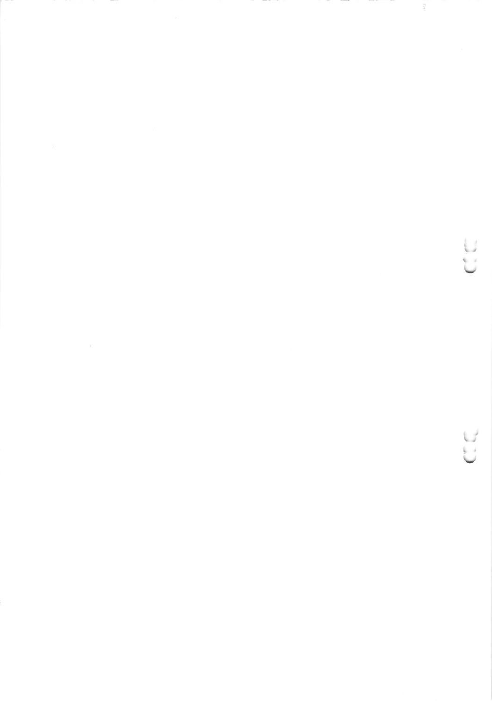$\frac{1}{4}$ Ų. ان<br>ب